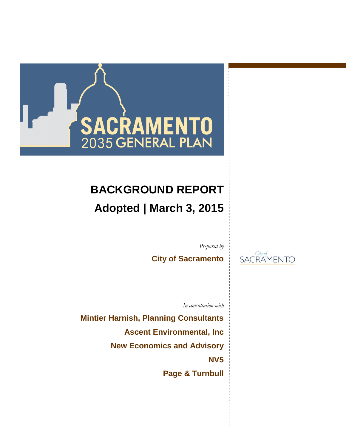

# **BACKGROUND REPORT Adopted | March 3, 2015**

*Prepared by*

**City of Sacramento**



*In consultation with*

**Mintier Harnish, Planning Consultants Ascent Environmental, Inc New Economics and Advisory NV5 Page & Turnbull**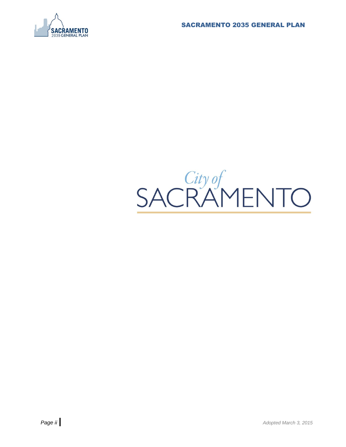

# **SACRAMENTO**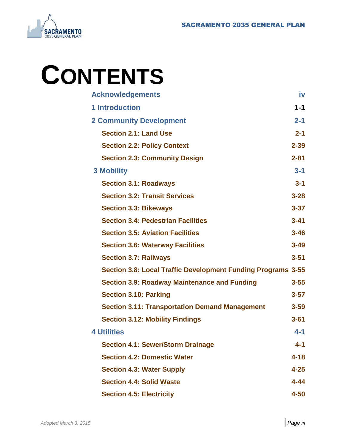

# **CONTENTS**

| <b>Acknowledgements</b>                                             | iv       |
|---------------------------------------------------------------------|----------|
| <b>1</b> Introduction                                               | $1 - 1$  |
| <b>2 Community Development</b>                                      | $2 - 1$  |
| <b>Section 2.1: Land Use</b>                                        | $2 - 1$  |
| <b>Section 2.2: Policy Context</b>                                  | $2 - 39$ |
| <b>Section 2.3: Community Design</b>                                | $2 - 81$ |
| <b>3 Mobility</b>                                                   | $3 - 1$  |
| <b>Section 3.1: Roadways</b>                                        | $3 - 1$  |
| <b>Section 3.2: Transit Services</b>                                | $3 - 28$ |
| <b>Section 3.3: Bikeways</b>                                        | $3 - 37$ |
| <b>Section 3.4: Pedestrian Facilities</b>                           | $3 - 41$ |
| <b>Section 3.5: Aviation Facilities</b>                             | $3 - 46$ |
| <b>Section 3.6: Waterway Facilities</b>                             | $3 - 49$ |
| <b>Section 3.7: Railways</b>                                        | $3 - 51$ |
| <b>Section 3.8: Local Traffic Development Funding Programs 3-55</b> |          |
| <b>Section 3.9: Roadway Maintenance and Funding</b>                 | $3 - 55$ |
| <b>Section 3.10: Parking</b>                                        | $3 - 57$ |
| <b>Section 3.11: Transportation Demand Management</b>               | $3 - 59$ |
| <b>Section 3.12: Mobility Findings</b>                              | $3 - 61$ |
| <b>4 Utilities</b>                                                  | $4 - 1$  |
| <b>Section 4.1: Sewer/Storm Drainage</b>                            | $4 - 1$  |
| <b>Section 4.2: Domestic Water</b>                                  | $4 - 18$ |
| <b>Section 4.3: Water Supply</b>                                    | $4 - 25$ |
| <b>Section 4.4: Solid Waste</b>                                     | 4-44     |
| <b>Section 4.5: Electricity</b>                                     | $4 - 50$ |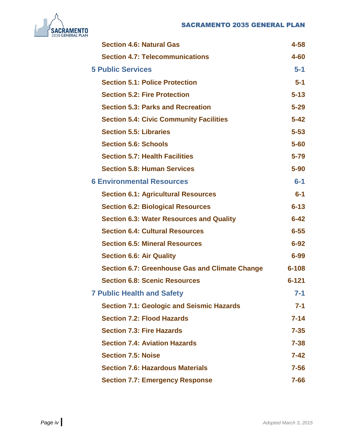

| <b>Section 4.6: Natural Gas</b>                       | 4-58      |
|-------------------------------------------------------|-----------|
| <b>Section 4.7: Telecommunications</b>                | $4 - 60$  |
|                                                       |           |
| <b>5 Public Services</b>                              | $5 - 1$   |
| <b>Section 5.1: Police Protection</b>                 | $5-1$     |
| <b>Section 5.2: Fire Protection</b>                   | $5 - 13$  |
| <b>Section 5.3: Parks and Recreation</b>              | $5 - 29$  |
| <b>Section 5.4: Civic Community Facilities</b>        | $5 - 42$  |
| <b>Section 5.5: Libraries</b>                         | $5 - 53$  |
| <b>Section 5.6: Schools</b>                           | $5 - 60$  |
| <b>Section 5.7: Health Facilities</b>                 | $5 - 79$  |
| <b>Section 5.8: Human Services</b>                    | $5 - 90$  |
| <b>6 Environmental Resources</b>                      | $6-1$     |
| <b>Section 6.1: Agricultural Resources</b>            | $6-1$     |
| <b>Section 6.2: Biological Resources</b>              | $6 - 13$  |
| <b>Section 6.3: Water Resources and Quality</b>       | $6 - 42$  |
| <b>Section 6.4: Cultural Resources</b>                | $6 - 55$  |
| <b>Section 6.5: Mineral Resources</b>                 | $6 - 92$  |
| <b>Section 6.6: Air Quality</b>                       | $6 - 99$  |
| <b>Section 6.7: Greenhouse Gas and Climate Change</b> | $6 - 108$ |
| <b>Section 6.8: Scenic Resources</b>                  | $6 - 121$ |
| <b>7 Public Health and Safety</b>                     | $7 - 1$   |
| <b>Section 7.1: Geologic and Seismic Hazards</b>      | 7-1       |
| <b>Section 7.2: Flood Hazards</b>                     | $7 - 14$  |
| <b>Section 7.3: Fire Hazards</b>                      | $7 - 35$  |
| <b>Section 7.4: Aviation Hazards</b>                  | $7 - 38$  |
| <b>Section 7.5: Noise</b>                             | $7 - 42$  |
| <b>Section 7.6: Hazardous Materials</b>               | $7 - 56$  |
| <b>Section 7.7: Emergency Response</b>                | $7 - 66$  |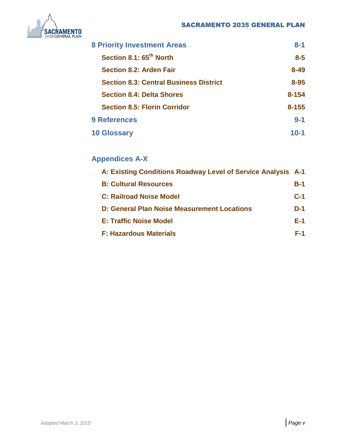

| <b>8 Priority Investment Areas</b>            | $8 - 1$   |
|-----------------------------------------------|-----------|
| Section 8.1: 65 <sup>th</sup> North           | $8 - 5$   |
| <b>Section 8.2: Arden Fair</b>                | $8 - 49$  |
| <b>Section 8.3: Central Business District</b> | $8 - 95$  |
| <b>Section 8.4: Delta Shores</b>              | $8 - 154$ |
| <b>Section 8.5: Florin Corridor</b>           | $8 - 155$ |
| <b>9 References</b>                           | $9 - 1$   |
| <b>10 Glossary</b>                            | $10-1$    |

### **Appendices A-X**

| A: Existing Conditions Roadway Level of Service Analysis A-1 |       |
|--------------------------------------------------------------|-------|
| <b>B: Cultural Resources</b>                                 | $B-1$ |
| C: Railroad Noise Model                                      | $C-1$ |
| <b>D: General Plan Noise Measurement Locations</b>           | $D-1$ |
| <b>E: Traffic Noise Model</b>                                | F-1   |
| <b>F: Hazardous Materials</b>                                | F-1   |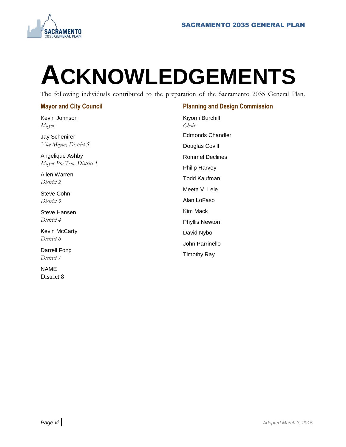

# **ACKNOWLEDGEMENTS**

The following individuals contributed to the preparation of the Sacramento 2035 General Plan.

#### **Mayor and City Council**

Kevin Johnson *Mayor*

Jay Schenirer *Vice Mayor, District 5*

Angelique Ashby *Mayor Pro Tem, District 1*

Allen Warren *District 2*

Steve Cohn *District 3* 

Steve Hansen *District 4*

Kevin McCarty *District 6*

Darrell Fong *District 7* 

NAME District 8

#### **Planning and Design Commission**

Kiyomi Burchill *Chair* Edmonds Chandler Douglas Covill Rommel Declines Philip Harvey Todd Kaufman Meeta V. Lele Alan LoFaso Kim Mack Phyllis Newton David Nybo John Parrinello Timothy Ray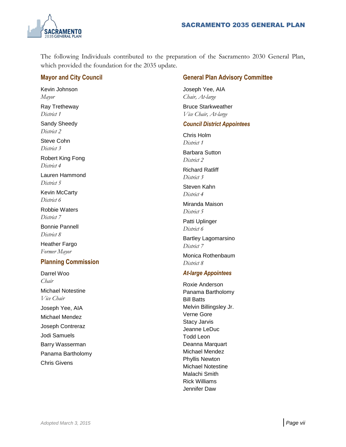

The following Individuals contributed to the preparation of the Sacramento 2030 General Plan, which provided the foundation for the 2035 update.

#### **Mayor and City Council**

Kevin Johnson *Mayor* Ray Tretheway *District 1* Sandy Sheedy *District 2* Steve Cohn *District 3* Robert King Fong *District 4* Lauren Hammond *District 5* Kevin McCarty *District 6* Robbie Waters *District 7* Bonnie Pannell *District 8* Heather Fargo *Former Mayor*

#### **Planning Commission**

Darrel Woo *Chair* Michael Notestine *Vice Chair* Joseph Yee, AIA Michael Mendez Joseph Contreraz Jodi Samuels Barry Wasserman Panama Bartholomy Chris Givens

#### **General Plan Advisory Committee**

Joseph Yee, AIA *Chair, At-large*

Bruce Starkweather *Vice Chair, At-large*

#### *Council District Appointees*

Chris Holm *District 1*

Barbara Sutton *District 2*

Richard Ratliff *District 3*

Steven Kahn *District 4*

Miranda Maison *District 5*

Patti Uplinger *District 6*

Bartley Lagomarsino *District 7*

Monica Rothenbaum *District 8*

#### *At-large Appointees*

Roxie Anderson Panama Bartholomy Bill Batts Melvin Billingsley Jr. Verne Gore Stacy Jarvis Jeanne LeDuc Todd Leon Deanna Marquart Michael Mendez Phyllis Newton Michael Notestine Malachi Smith Rick Williams Jennifer Daw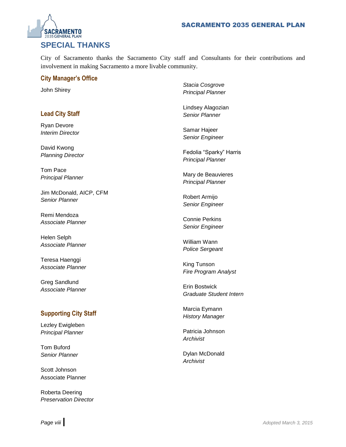

City of Sacramento thanks the Sacramento City staff and Consultants for their contributions and involvement in making Sacramento a more livable community.

#### **City Manager's Office**

John Shirey

#### **Lead City Staff**

Ryan Devore *Interim Director*

David Kwong *Planning Director*

Tom Pace *Principal Planner*

Jim McDonald, AICP, CFM *Senior Planner*

Remi Mendoza *Associate Planner*

Helen Selph *Associate Planner*

Teresa Haenggi *Associate Planner*

Greg Sandlund *Associate Planner*

#### **Supporting City Staff**

Lezley Ewigleben *Principal Planner*

Tom Buford *Senior Planner*

Scott Johnson Associate Planner

Roberta Deering *Preservation Director* *Stacia Cosgrove Principal Planner*

Lindsey Alagozian *Senior Planner*

Samar Hajeer *Senior Engineer*

Fedolia "Sparky" Harris *Principal Planner*

Mary de Beauvieres *Principal Planner*

Robert Armijo *Senior Engineer*

Connie Perkins *Senior Engineer*

William Wann *Police Sergeant*

King Tunson *Fire Program Analyst*

Erin Bostwick *Graduate Student Intern*

Marcia Eymann *History Manager*

Patricia Johnson *Archivist*

Dylan McDonald *Archivist*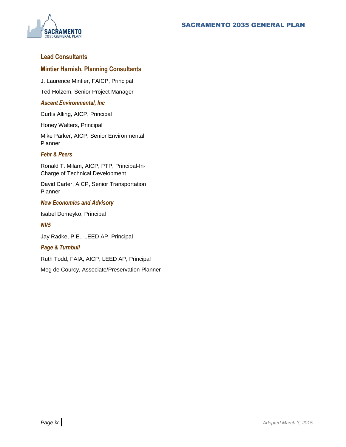



#### **Lead Consultants**

#### **Mintier Harnish, Planning Consultants**

J. Laurence Mintier, FAICP, Principal

Ted Holzem, Senior Project Manager

#### *Ascent Environmental, Inc*

Curtis Alling, AICP, Principal

Honey Walters, Principal

Mike Parker, AICP, Senior Environmental Planner

#### *Fehr & Peers*

Ronald T. Milam, AICP, PTP, Principal-In-Charge of Technical Development

David Carter, AICP, Senior Transportation Planner

#### *New Economics and Advisory*

Isabel Domeyko, Principal

*NV5*

Jay Radke, P.E., LEED AP, Principal

#### *Page & Turnbull*

Ruth Todd, FAIA, AICP, LEED AP, Principal

Meg de Courcy, Associate/Preservation Planner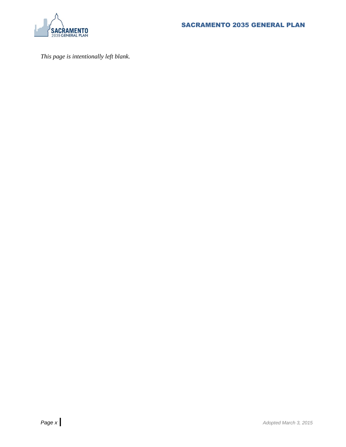

*This page is intentionally left blank.*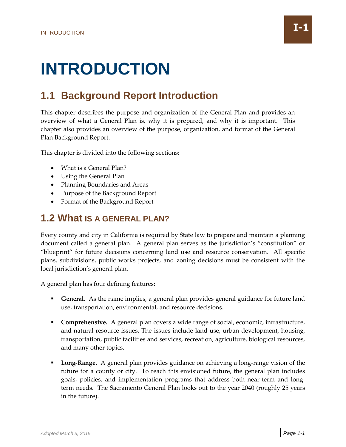# **INTRODUCTION**

# **1.1 Background Report Introduction**

This chapter describes the purpose and organization of the General Plan and provides an overview of what a General Plan is, why it is prepared, and why it is important. This chapter also provides an overview of the purpose, organization, and format of the General Plan Background Report.

This chapter is divided into the following sections:

- What is a General Plan?
- Using the General Plan
- Planning Boundaries and Areas
- Purpose of the Background Report
- Format of the Background Report

### **1.2 What IS A GENERAL PLAN?**

Every county and city in California is required by State law to prepare and maintain a planning document called a general plan. A general plan serves as the jurisdiction's "constitution" or "blueprint" for future decisions concerning land use and resource conservation. All specific plans, subdivisions, public works projects, and zoning decisions must be consistent with the local jurisdiction's general plan.

A general plan has four defining features:

- **General.** As the name implies, a general plan provides general guidance for future land use, transportation, environmental, and resource decisions.
- **Comprehensive.** A general plan covers a wide range of social, economic, infrastructure, and natural resource issues. The issues include land use, urban development, housing, transportation, public facilities and services, recreation, agriculture, biological resources, and many other topics.
- **Long-Range.** A general plan provides guidance on achieving a long-range vision of the future for a county or city. To reach this envisioned future, the general plan includes goals, policies, and implementation programs that address both near-term and longterm needs. The Sacramento General Plan looks out to the year 2040 (roughly 25 years in the future).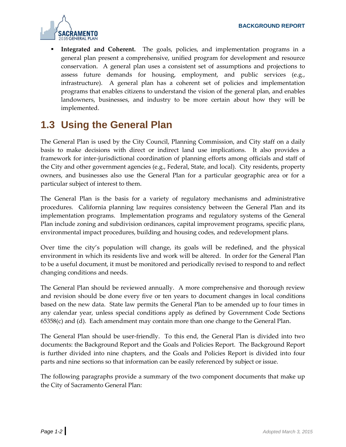

 **Integrated and Coherent.** The goals, policies, and implementation programs in a general plan present a comprehensive, unified program for development and resource conservation. A general plan uses a consistent set of assumptions and projections to assess future demands for housing, employment, and public services (e.g., infrastructure). A general plan has a coherent set of policies and implementation programs that enables citizens to understand the vision of the general plan, and enables landowners, businesses, and industry to be more certain about how they will be implemented.

### **1.3 Using the General Plan**

The General Plan is used by the City Council, Planning Commission, and City staff on a daily basis to make decisions with direct or indirect land use implications. It also provides a framework for inter-jurisdictional coordination of planning efforts among officials and staff of the City and other government agencies (e.g., Federal, State, and local). City residents, property owners, and businesses also use the General Plan for a particular geographic area or for a particular subject of interest to them.

The General Plan is the basis for a variety of regulatory mechanisms and administrative procedures. California planning law requires consistency between the General Plan and its implementation programs. Implementation programs and regulatory systems of the General Plan include zoning and subdivision ordinances, capital improvement programs, specific plans, environmental impact procedures, building and housing codes, and redevelopment plans.

Over time the city's population will change, its goals will be redefined, and the physical environment in which its residents live and work will be altered. In order for the General Plan to be a useful document, it must be monitored and periodically revised to respond to and reflect changing conditions and needs.

The General Plan should be reviewed annually. A more comprehensive and thorough review and revision should be done every five or ten years to document changes in local conditions based on the new data. State law permits the General Plan to be amended up to four times in any calendar year, unless special conditions apply as defined by Government Code Sections 65358(c) and (d). Each amendment may contain more than one change to the General Plan.

The General Plan should be user-friendly. To this end, the General Plan is divided into two documents: the Background Report and the Goals and Policies Report. The Background Report is further divided into nine chapters, and the Goals and Policies Report is divided into four parts and nine sections so that information can be easily referenced by subject or issue.

The following paragraphs provide a summary of the two component documents that make up the City of Sacramento General Plan: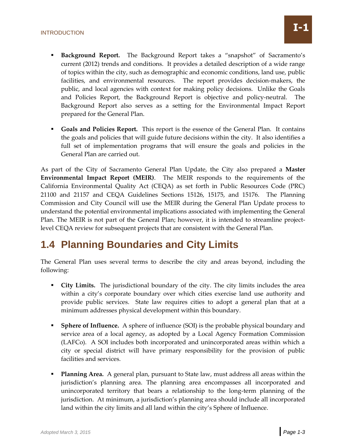- **Background Report.** The Background Report takes a "snapshot" of Sacramento's current (2012) trends and conditions. It provides a detailed description of a wide range of topics within the city, such as demographic and economic conditions, land use, public facilities, and environmental resources. The report provides decision-makers, the public, and local agencies with context for making policy decisions. Unlike the Goals and Policies Report, the Background Report is objective and policy-neutral. The Background Report also serves as a setting for the Environmental Impact Report prepared for the General Plan.
- **Goals and Policies Report.** This report is the essence of the General Plan. It contains the goals and policies that will guide future decisions within the city. It also identifies a full set of implementation programs that will ensure the goals and policies in the General Plan are carried out.

As part of the City of Sacramento General Plan Update, the City also prepared a **Master Environmental Impact Report (MEIR)**. The MEIR responds to the requirements of the California Environmental Quality Act (CEQA) as set forth in Public Resources Code (PRC) 21100 and 21157 and CEQA Guidelines Sections 15126, 15175, and 15176. The Planning Commission and City Council will use the MEIR during the General Plan Update process to understand the potential environmental implications associated with implementing the General Plan. The MEIR is not part of the General Plan; however, it is intended to streamline projectlevel CEQA review for subsequent projects that are consistent with the General Plan.

## **1.4 Planning Boundaries and City Limits**

The General Plan uses several terms to describe the city and areas beyond, including the following:

- **City Limits.** The jurisdictional boundary of the city. The city limits includes the area within a city's corporate boundary over which cities exercise land use authority and provide public services. State law requires cities to adopt a general plan that at a minimum addresses physical development within this boundary.
- **Sphere of Influence.** A sphere of influence (SOI) is the probable physical boundary and service area of a local agency, as adopted by a Local Agency Formation Commission (LAFCo). A SOI includes both incorporated and unincorporated areas within which a city or special district will have primary responsibility for the provision of public facilities and services.
- **Planning Area.** A general plan, pursuant to State law, must address all areas within the jurisdiction's planning area. The planning area encompasses all incorporated and unincorporated territory that bears a relationship to the long-term planning of the jurisdiction. At minimum, a jurisdiction's planning area should include all incorporated land within the city limits and all land within the city's Sphere of Influence.